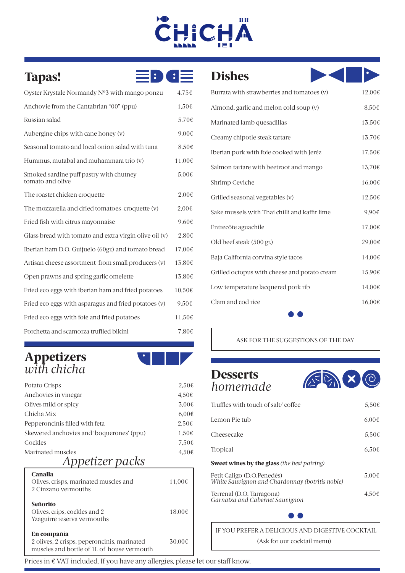## 88 CHICI **A**

| $\left  \cdot \right\rangle$<br>Tapas!                      | $\blacksquare$ : $\blacksquare$ |
|-------------------------------------------------------------|---------------------------------|
| Oyster Krystale Normandy Nº3 with mango ponzu               | 4.75€                           |
| Anchovie from the Cantabrian "00" (ppu)                     | 1,50€                           |
| Russian salad                                               | 5,70€                           |
| Aubergine chips with cane honey (v)                         | 9,00€                           |
| Seasonal tomato and local onion salad with tuna             | 8,50€                           |
| Hummus, mutabal and muhammara trio (v)                      | 11,00€                          |
| Smoked sardine puff pastry with chutney<br>tomato and olive | 5,00€                           |
| The roastet chicken croquette                               | 2,00€                           |
| The mozzarella and dried tomatoes croquette (v)             | 2,00€                           |
| Fried fish with citrus mayonnaise                           | 9,60€                           |
| Glass bread with tomato and extra virgin olive oil (v)      | 2,80€                           |
| Iberian ham D.O. Guijuelo (60gr.) and tomato bread          | 17,00€                          |
| Artisan cheese assortment from small producers (v)          | 13,80€                          |
| Open prawns and spring garlic omelette                      | 13.80€                          |
| Fried eco eggs with iberian ham and fried potatoes          | 10,50€                          |
| Fried eco eggs with asparagus and fried potatoes (v)        | 9,50€                           |
| Fried eco eggs with foie and fried potatoes                 | 11,50€                          |
| Porchetta and scamorza truffled bikini                      | 7,80€                           |

### Appetizers *with chicha* l



| Potato Crisps                             | $2.50\epsilon$      |
|-------------------------------------------|---------------------|
| Anchovies in vinegar                      | $4.50\epsilon$      |
| Olives mild or spicy                      | $3.00 \epsilon$     |
| Chicha Mix                                | $6.00 \text{ } \in$ |
| Pepperoncinis filled with feta            | $2.50 \text{ } \in$ |
| Skewered anchovies and 'boquerones' (ppu) | $1,50 \in$          |
| Cockles                                   | $7.50\epsilon$      |
| Marinated muscles                         | $4.50\epsilon$      |
| Ann <i>otizor nac</i> ke                  |                     |

## *Appetizer packs*

| Canalla<br>Olives, crisps, marinated muscles and<br>2 Cinzano vermouths                                  | 11,00€ |
|----------------------------------------------------------------------------------------------------------|--------|
| Señorito<br>Olives, crips, cockles and 2<br>Yzaguirre reserva vermouths                                  | 18.00€ |
| En compañía<br>2 olives, 2 crisps, peperoncinis, marinated<br>muscles and bottle of 1L of house vermouth | 30.00€ |

## Dishes



| Burrata with strawberries and tomatoes (v)    | 12,00€ |
|-----------------------------------------------|--------|
| Almond, garlic and melon cold soup (v)        | 8,50€  |
| Marinated lamb quesadillas                    | 13,50€ |
| Creamy chipotle steak tartare                 | 13.70€ |
| Iberian pork with foie cooked with Jeréz      | 17,50€ |
| Salmon tartare with beetroot and mango        | 13,70€ |
| Shrimp Ceviche                                | 16,00€ |
| Grilled seasonal vegetables (v)               | 12,50€ |
| Sake mussels with Thai chilli and kaffir lime | 9,90€  |
| Entrecôte aguachile                           | 17,00€ |
| Old beef steak (500 gr.)                      | 29,00€ |
| Baja California corvina style tacos           | 14,00€ |
| Grilled octopus with cheese and potato cream  | 15,90€ |
| Low temperature lacquered pork rib            | 14,00€ |
| Clam and cod rice                             | 16,00€ |
|                                               |        |

#### ASK FOR THE SUGGESTIONS OF THE DAY

### **Desserts** *homemade*



| Truffles with touch of salt/coffee                                            | $5.50\epsilon$ |
|-------------------------------------------------------------------------------|----------------|
| Lemon Pie tub                                                                 | 6.00€          |
| Cheesecake                                                                    | $5.50\epsilon$ |
| <b>Tropical</b>                                                               | 6.50€          |
| <b>Sweet wines by the glass</b> (the best pairing)                            |                |
| Petit Caligo (D.O.Penedès)<br>White Sauvignon and Chardonnay (botritis noble) | $5.00\epsilon$ |
| Terrenal (D.O. Tarragona)<br>Garnatxa and Cabernet Sauvignon                  | $4.50\epsilon$ |

IF YOU PREFER A DELICIOUS AND DIGESTIVE COCKTAIL (Ask for our cocktail menu)

Prices in € VAT included. If you have any allergies, please let our staff know.